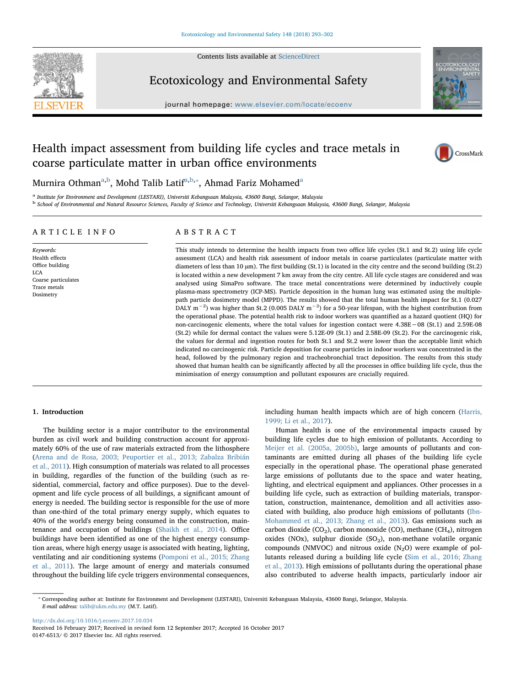

Contents lists available at [ScienceDirect](http://www.sciencedirect.com/science/journal/01476513)

## Ecotoxicology and Environmental Safety

journal homepage: [www.elsevier.com/locate/ecoenv](https://www.elsevier.com/locate/ecoenv)



## Health impact assessment from building life cycles and trace metals in coarse particulate matter in urban office environments



Murnir[a](#page-0-0) Othman<sup>a[,b](#page-0-1)</sup>, Mohd Talib Latif<sup>a[,b,](#page-0-1)</sup>\*, Ahmad Fariz Mohamed<sup>a</sup>

<span id="page-0-0"></span><sup>a</sup> Institute for Environment and Development (LESTARI), Universiti Kebangsaan Malaysia, 43600 Bangi, Selangor, Malaysia

<span id="page-0-1"></span><sup>b</sup> School of Environmental and Natural Resource Sciences, Faculty of Science and Technology, Universiti Kebangsaan Malaysia, 43600 Bangi, Selangor, Malaysia

#### ARTICLE INFO

Keywords: Health effects Office building LCA Coarse particulates Trace metals Dosimetry

### ABSTRACT

This study intends to determine the health impacts from two office life cycles (St.1 and St.2) using life cycle assessment (LCA) and health risk assessment of indoor metals in coarse particulates (particulate matter with diameters of less than 10 µm). The first building (St.1) is located in the city centre and the second building (St.2) is located within a new development 7 km away from the city centre. All life cycle stages are considered and was analysed using SimaPro software. The trace metal concentrations were determined by inductively couple plasma-mass spectrometry (ICP-MS). Particle deposition in the human lung was estimated using the multiplepath particle dosimetry model (MPPD). The results showed that the total human health impact for St.1 (0.027 DALY m<sup>-2</sup>) was higher than St.2 (0.005 DALY m<sup>-2</sup>) for a 50-year lifespan, with the highest contribution from the operational phase. The potential health risk to indoor workers was quantified as a hazard quotient (HQ) for non-carcinogenic elements, where the total values for ingestion contact were 4.38E−08 (St.1) and 2.59E-08 (St.2) while for dermal contact the values were 5.12E-09 (St.1) and 2.58E-09 (St.2). For the carcinogenic risk, the values for dermal and ingestion routes for both St.1 and St.2 were lower than the acceptable limit which indicated no carcinogenic risk. Particle deposition for coarse particles in indoor workers was concentrated in the head, followed by the pulmonary region and tracheobronchial tract deposition. The results from this study showed that human health can be significantly affected by all the processes in office building life cycle, thus the minimisation of energy consumption and pollutant exposures are crucially required.

#### 1. Introduction

The building sector is a major contributor to the environmental burden as civil work and building construction account for approximately 60% of the use of raw materials extracted from the lithosphere ([Arena and de Rosa, 2003; Peuportier et al., 2013; Zabalza Bribián](#page--1-0) [et al., 2011\)](#page--1-0). High consumption of materials was related to all processes in building, regardles of the function of the building (such as residential, commercial, factory and office purposes). Due to the development and life cycle process of all buildings, a significant amount of energy is needed. The building sector is responsible for the use of more than one-third of the total primary energy supply, which equates to 40% of the world's energy being consumed in the construction, maintenance and occupation of buildings ([Shaikh et al., 2014](#page--1-1)). Office buildings have been identified as one of the highest energy consumption areas, where high energy usage is associated with heating, lighting, ventilating and air conditioning systems ([Pomponi et al., 2015; Zhang](#page--1-2) [et al., 2011](#page--1-2)). The large amount of energy and materials consumed throughout the building life cycle triggers environmental consequences,

including human health impacts which are of high concern ([Harris,](#page--1-3) [1999; Li et al., 2017\)](#page--1-3).

Human health is one of the environmental impacts caused by building life cycles due to high emission of pollutants. According to [Meijer et al. \(2005a, 2005b\)](#page--1-4), large amounts of pollutants and contaminants are emitted during all phases of the building life cycle especially in the operational phase. The operational phase generated large emissions of pollutants due to the space and water heating, lighting, and electrical equipment and appliances. Other processes in a building life cycle, such as extraction of building materials, transportation, construction, maintenance, demolition and all activities associated with building, also produce high emissions of pollutants ([Ibn-](#page--1-5)[Mohammed et al., 2013; Zhang et al., 2013](#page--1-5)). Gas emissions such as carbon dioxide ( $CO<sub>2</sub>$ ), carbon monoxide ( $CO$ ), methane ( $CH<sub>4</sub>$ ), nitrogen oxides (NOx), sulphur dioxide  $(SO<sub>2</sub>)$ , non-methane volatile organic compounds (NMVOC) and nitrous oxide  $(N_2O)$  were example of pollutants released during a building life cycle ([Sim et al., 2016; Zhang](#page--1-6) [et al., 2013\)](#page--1-6). High emissions of pollutants during the operational phase also contributed to adverse health impacts, particularly indoor air

<http://dx.doi.org/10.1016/j.ecoenv.2017.10.034>

Received 16 February 2017; Received in revised form 12 September 2017; Accepted 16 October 2017 0147-6513/ © 2017 Elsevier Inc. All rights reserved.

<span id="page-0-2"></span><sup>⁎</sup> Corresponding author at: Institute for Environment and Development (LESTARI), Universiti Kebangsaan Malaysia, 43600 Bangi, Selangor, Malaysia. E-mail address: [talib@ukm.edu.my](mailto:talib@ukm.edu.my) (M.T. Latif).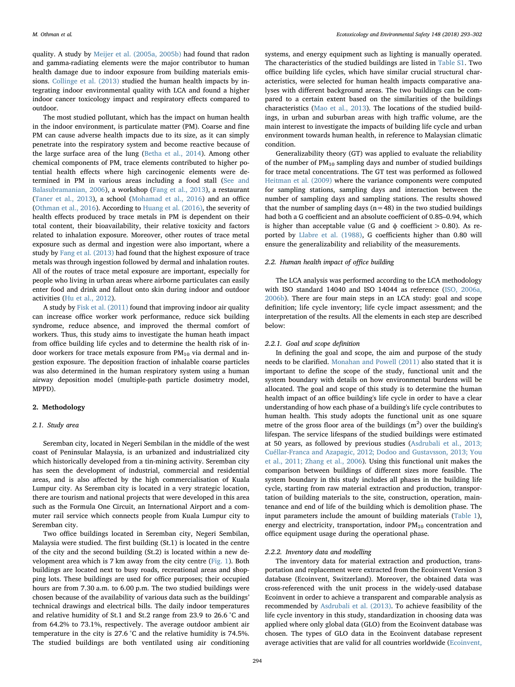quality. A study by [Meijer et al. \(2005a, 2005b\)](#page--1-4) had found that radon and gamma-radiating elements were the major contributor to human health damage due to indoor exposure from building materials emissions. [Collinge et al. \(2013\)](#page--1-7) studied the human health impacts by integrating indoor environmental quality with LCA and found a higher indoor cancer toxicology impact and respiratory effects compared to outdoor.

The most studied pollutant, which has the impact on human health in the indoor environment, is particulate matter (PM). Coarse and fine PM can cause adverse health impacts due to its size, as it can simply penetrate into the respiratory system and become reactive because of the large surface area of the lung [\(Betha et al., 2014\)](#page--1-8). Among other chemical components of PM, trace elements contributed to higher potential health effects where high carcinogenic elements were determined in PM in various areas including a food stall ([See and](#page--1-9) [Balasubramanian, 2006\)](#page--1-9), a workshop ([Fang et al., 2013\)](#page--1-10), a restaurant ([Taner et al., 2013](#page--1-11)), a school [\(Mohamad et al., 2016\)](#page--1-12) and an office ([Othman et al., 2016\)](#page--1-13). According to [Huang et al. \(2016\)](#page--1-14), the severity of health effects produced by trace metals in PM is dependent on their total content, their bioavailability, their relative toxicity and factors related to inhalation exposure. Moreover, other routes of trace metal exposure such as dermal and ingestion were also important, where a study by [Fang et al. \(2013\)](#page--1-10) had found that the highest exposure of trace metals was through ingestion followed by dermal and inhalation routes. All of the routes of trace metal exposure are important, especially for people who living in urban areas where airborne particulates can easily enter food and drink and fallout onto skin during indoor and outdoor activities ([Hu et al., 2012\)](#page--1-15).

A study by [Fisk et al. \(2011\)](#page--1-16) found that improving indoor air quality can increase office worker work performance, reduce sick building syndrome, reduce absence, and improved the thermal comfort of workers. Thus, this study aims to investigate the human heath impact from office building life cycles and to determine the health risk of indoor workers for trace metals exposure from  $PM_{10}$  via dermal and ingestion exposure. The deposition fraction of inhalable coarse particles was also determined in the human respiratory system using a human airway deposition model (multiple-path particle dosimetry model, MPPD).

#### 2. Methodology

#### 2.1. Study area

Seremban city, located in Negeri Sembilan in the middle of the west coast of Peninsular Malaysia, is an urbanized and industrialized city which historically developed from a tin-mining activity. Seremban city has seen the development of industrial, commercial and residential areas, and is also affected by the high commercialisation of Kuala Lumpur city. As Seremban city is located in a very strategic location, there are tourism and national projects that were developed in this area such as the Formula One Circuit, an International Airport and a commuter rail service which connects people from Kuala Lumpur city to Seremban city.

Two office buildings located in Seremban city, Negeri Sembilan, Malaysia were studied. The first building (St.1) is located in the centre of the city and the second building (St.2) is located within a new development area which is 7 km away from the city centre [\(Fig. 1](#page--1-17)). Both buildings are located next to busy roads, recreational areas and shopping lots. These buildings are used for office purposes; their occupied hours are from 7.30 a.m. to 6.00 p.m. The two studied buildings were chosen because of the availability of various data such as the buildings' technical drawings and electrical bills. The daily indoor temperatures and relative humidity of St.1 and St.2 range from 23.9 to 26.6 °C and from 64.2% to 73.1%, respectively. The average outdoor ambient air temperature in the city is 27.6 °C and the relative humidity is 74.5%. The studied buildings are both ventilated using air conditioning

systems, and energy equipment such as lighting is manually operated. The characteristics of the studied buildings are listed in Table S1. Two office building life cycles, which have similar crucial structural characteristics, were selected for human health impacts comparative analyses with different background areas. The two buildings can be compared to a certain extent based on the similarities of the buildings characteristics [\(Mao et al., 2013\)](#page--1-18). The locations of the studied buildings, in urban and suburban areas with high traffic volume, are the main interest to investigate the impacts of building life cycle and urban environment towards human health, in reference to Malaysian climatic condition.

Generalizability theory (GT) was applied to evaluate the reliability of the number of  $PM_{10}$  sampling days and number of studied buildings for trace metal concentrations. The GT test was performed as followed [Heitman et al. \(2009\)](#page--1-19) where the variance components were computed for sampling stations, sampling days and interaction between the number of sampling days and sampling stations. The results showed that the number of sampling days ( $n=48$ ) in the two studied buildings had both a G coefficient and an absolute coefficient of 0.85–0.94, which is higher than acceptable value (G and  $\phi$  coefficient  $> 0.80$ ). As reported by [Llabre et al. \(1988\),](#page--1-20) G coefficients higher than 0.80 will ensure the generalizability and reliability of the measurements.

#### 2.2. Human health impact of office building

The LCA analysis was performed according to the LCA methodology with ISO standard 14040 and ISO 14044 as reference ([ISO, 2006a,](#page--1-21) [2006b\)](#page--1-21). There are four main steps in an LCA study: goal and scope definition; life cycle inventory; life cycle impact assessment; and the interpretation of the results. All the elements in each step are described below:

#### 2.2.1. Goal and scope definition

In defining the goal and scope, the aim and purpose of the study needs to be clarified. [Monahan and Powell \(2011\)](#page--1-22) also stated that it is important to define the scope of the study, functional unit and the system boundary with details on how environmental burdens will be allocated. The goal and scope of this study is to determine the human health impact of an office building's life cycle in order to have a clear understanding of how each phase of a building's life cycle contributes to human health. This study adopts the functional unit as one square metre of the gross floor area of the buildings  $(m<sup>2</sup>)$  over the building's lifespan. The service lifespans of the studied buildings were estimated at 50 years, as followed by previous studies [\(Asdrubali et al., 2013;](#page--1-23) [Cuéllar-Franca and Azapagic, 2012; Dodoo and Gustavsson, 2013; You](#page--1-23) [et al., 2011; Zhang et al., 2006\)](#page--1-23). Using this functional unit makes the comparison between buildings of different sizes more feasible. The system boundary in this study includes all phases in the building life cycle, starting from raw material extraction and production, transportation of building materials to the site, construction, operation, maintenance and end of life of the building which is demolition phase. The input parameters include the amount of building materials [\(Table 1](#page--1-24)), energy and electricity, transportation, indoor  $PM_{10}$  concentration and office equipment usage during the operational phase.

#### 2.2.2. Inventory data and modelling

The inventory data for material extraction and production, transportation and replacement were extracted from the Ecoinvent Version 3 database (Ecoinvent, Switzerland). Moreover, the obtained data was cross-referenced with the unit process in the widely-used database Ecoinvent in order to achieve a transparent and comparable analysis as recommended by [Asdrubali et al. \(2013\).](#page--1-23) To achieve feasibility of the life cycle inventory in this study, standardization in choosing data was applied where only global data (GLO) from the Ecoinvent database was chosen. The types of GLO data in the Ecoinvent database represent average activities that are valid for all countries worldwide [\(Ecoinvent,](#page--1-25)